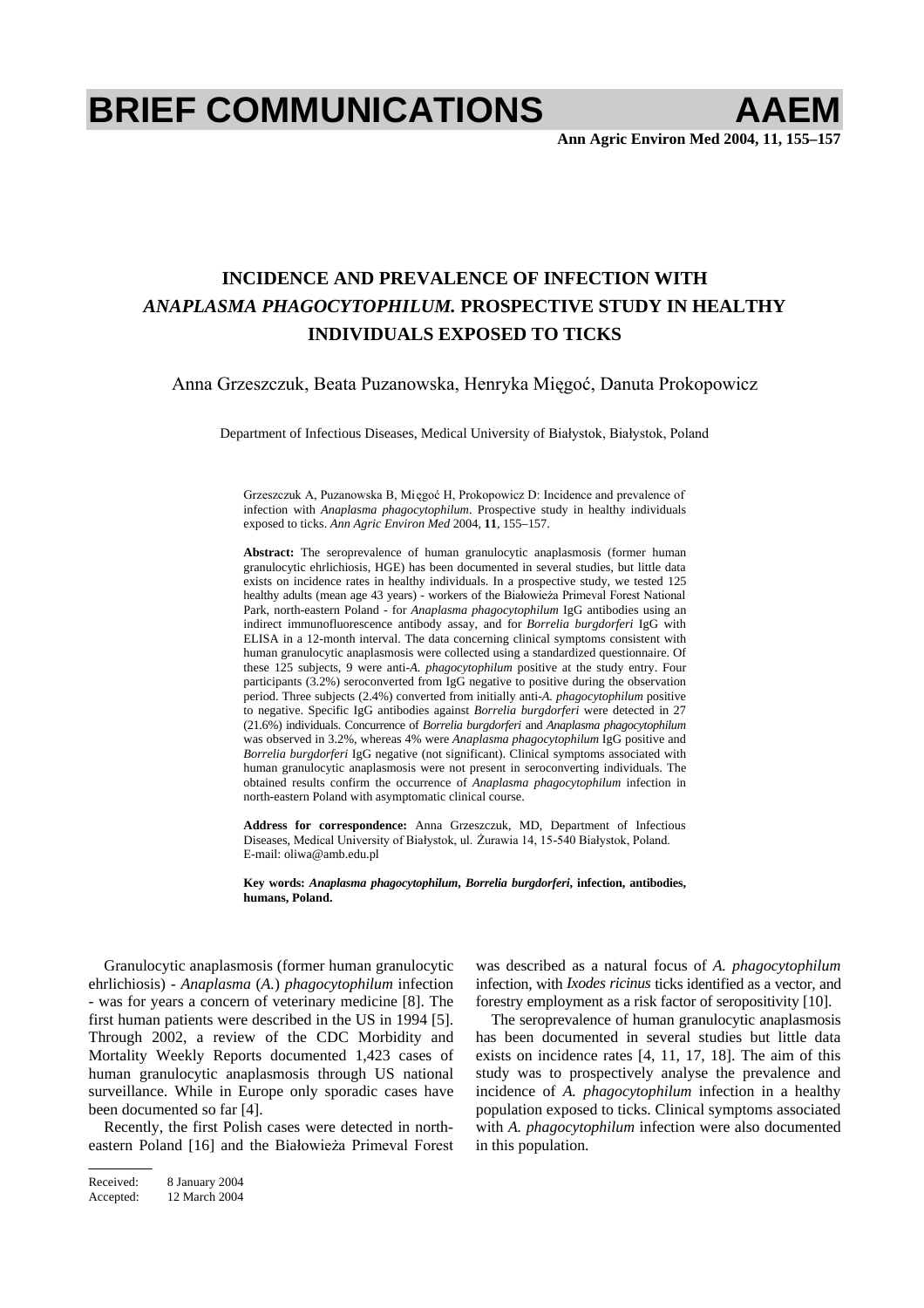# **BRIEF COMMUNICATIONS AAEM**

**Ann Agric Environ Med 2004, 11, 155–157**

## **INCIDENCE AND PREVALENCE OF INFECTION WITH** *ANAPLASMA PHAGOCYTOPHILUM.* **PROSPECTIVE STUDY IN HEALTHY INDIVIDUALS EXPOSED TO TICKS**

Anna Grzeszczuk, Beata Puzanowska, Henryka Mięgoć, Danuta Prokopowicz

Department of Infectious Diseases, Medical University of Białystok, Białystok, Poland

Grzeszczuk A, Puzanowska B, Mięgoć H, Prokopowicz D: Incidence and prevalence of infection with *Anaplasma phagocytophilum*. Prospective study in healthy individuals exposed to ticks. *Ann Agric Environ Med* 2004, **11**, 155–157.

**Abstract:** The seroprevalence of human granulocytic anaplasmosis (former human granulocytic ehrlichiosis, HGE) has been documented in several studies, but little data exists on incidence rates in healthy individuals. In a prospective study, we tested 125 healthy adults (mean age 43 years) - workers of the Białowieża Primeval Forest National Park, north-eastern Poland - for *Anaplasma phagocytophilum* IgG antibodies using an indirect immunofluorescence antibody assay, and for *Borrelia burgdorferi* IgG with ELISA in a 12-month interval. The data concerning clinical symptoms consistent with human granulocytic anaplasmosis were collected using a standardized questionnaire. Of these 125 subjects, 9 were anti-*A. phagocytophilum* positive at the study entry. Four participants (3.2%) seroconverted from IgG negative to positive during the observation period. Three subjects (2.4%) converted from initially anti-*A. phagocytophilum* positive to negative. Specific IgG antibodies against *Borrelia burgdorferi* were detected in 27 (21.6%) individuals. Concurrence of *Borrelia burgdorferi* and *Anaplasma phagocytophilum* was observed in 3.2%, whereas 4% were *Anaplasma phagocytophilum* IgG positive and *Borrelia burgdorferi* IgG negative (not significant). Clinical symptoms associated with human granulocytic anaplasmosis were not present in seroconverting individuals. The obtained results confirm the occurrence of *Anaplasma phagocytophilum* infection in north-eastern Poland with asymptomatic clinical course.

**Address for correspondence:** Anna Grzeszczuk, MD, Department of Infectious Diseases, Medical University of Białystok, ul. Żurawia 14, 15-540 Białystok, Poland. E-mail: oliwa@amb.edu.pl

**Key words:** *Anaplasma phagocytophilum***,** *Borrelia burgdorferi***, infection, antibodies, humans, Poland.** 

Granulocytic anaplasmosis (former human granulocytic ehrlichiosis) - *Anaplasma* (*A.*) *phagocytophilum* infection - was for years a concern of veterinary medicine [8]. The first human patients were described in the US in 1994 [5]. Through 2002, a review of the CDC Morbidity and Mortality Weekly Reports documented 1,423 cases of human granulocytic anaplasmosis through US national surveillance. While in Europe only sporadic cases have been documented so far [4].

Recently, the first Polish cases were detected in northeastern Poland [16] and the Białowieża Primeval Forest

Received: 8 January 2004 Accepted: 12 March 2004

was described as a natural focus of *A. phagocytophilum* infection, with *Ixodes ricinus* ticks identified as a vector, and forestry employment as a risk factor of seropositivity [10].

The seroprevalence of human granulocytic anaplasmosis has been documented in several studies but little data exists on incidence rates [4, 11, 17, 18]. The aim of this study was to prospectively analyse the prevalence and incidence of *A. phagocytophilum* infection in a healthy population exposed to ticks. Clinical symptoms associated with *A. phagocytophilum* infection were also documented in this population.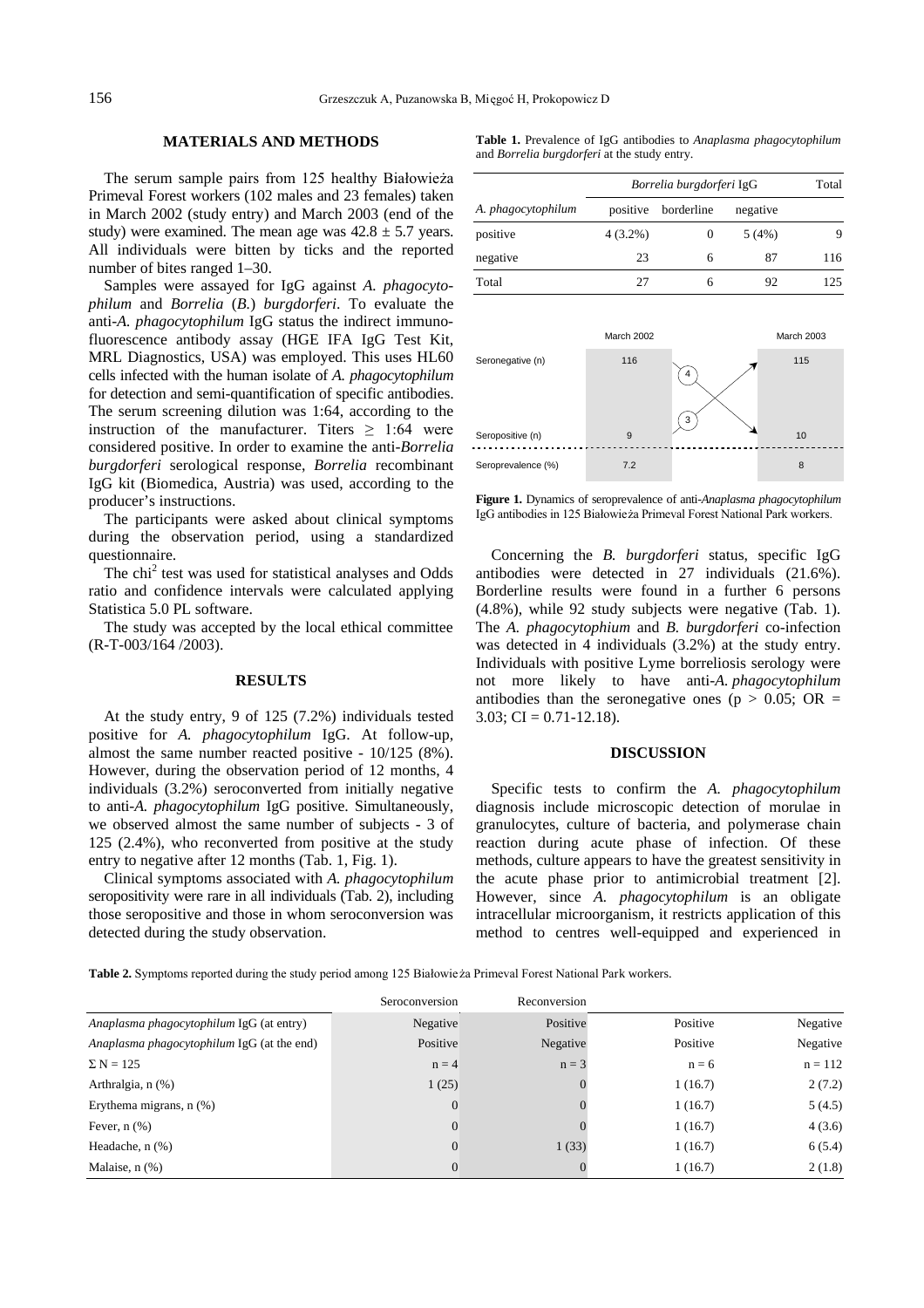### **MATERIALS AND METHODS**

The serum sample pairs from 125 healthy Białowieża Primeval Forest workers (102 males and 23 females) taken in March 2002 (study entry) and March 2003 (end of the study) were examined. The mean age was  $42.8 \pm 5.7$  years. All individuals were bitten by ticks and the reported number of bites ranged 1–30.

Samples were assayed for IgG against *A. phagocytophilum* and *Borrelia* (*B.*) *burgdorferi*. To evaluate the anti-*A. phagocytophilum* IgG status the indirect immunofluorescence antibody assay (HGE IFA IgG Test Kit, MRL Diagnostics, USA) was employed. This uses HL60 cells infected with the human isolate of *A. phagocytophilum* for detection and semi-quantification of specific antibodies. The serum screening dilution was 1:64, according to the instruction of the manufacturer. Titers  $\geq$  1:64 were considered positive. In order to examine the anti-*Borrelia burgdorferi* serological response, *Borrelia* recombinant IgG kit (Biomedica, Austria) was used, according to the producer's instructions.

The participants were asked about clinical symptoms during the observation period, using a standardized questionnaire.

The chi<sup>2</sup> test was used for statistical analyses and Odds ratio and confidence intervals were calculated applying Statistica 5.0 PL software.

The study was accepted by the local ethical committee (R-T-003/164 /2003).

#### **RESULTS**

At the study entry, 9 of 125 (7.2%) individuals tested positive for *A. phagocytophilum* IgG. At follow-up, almost the same number reacted positive - 10/125 (8%). However, during the observation period of 12 months, 4 individuals (3.2%) seroconverted from initially negative to anti-*A. phagocytophilum* IgG positive. Simultaneously, we observed almost the same number of subjects - 3 of 125 (2.4%), who reconverted from positive at the study entry to negative after 12 months (Tab. 1, Fig. 1).

Clinical symptoms associated with *A. phagocytophilum* seropositivity were rare in all individuals (Tab. 2), including those seropositive and those in whom seroconversion was detected during the study observation.

**Table 1.** Prevalence of IgG antibodies to *Anaplasma phagocytophilum* and *Borrelia burgdorferi* at the study entry.

| A. phagocytophilum | Borrelia burgdorferi IgG |            |          | Total |
|--------------------|--------------------------|------------|----------|-------|
|                    | positive                 | borderline | negative |       |
| positive           | $4(3.2\%)$               |            | 5(4%)    |       |
| negative           | 23                       | 6          | 87       | 116   |
| Total              | 27                       |            | 92       | 125   |



**Figure 1.** Dynamics of seroprevalence of anti-*Anaplasma phagocytophilum* IgG antibodies in 125 Białowieża Primeval Forest National Park workers.

Concerning the *B. burgdorferi* status, specific IgG antibodies were detected in 27 individuals (21.6%). Borderline results were found in a further 6 persons (4.8%), while 92 study subjects were negative (Tab. 1). The *A. phagocytophium* and *B. burgdorferi* co-infection was detected in 4 individuals (3.2%) at the study entry. Individuals with positive Lyme borreliosis serology were not more likely to have anti-*A. phagocytophilum* antibodies than the seronegative ones ( $p > 0.05$ ; OR =  $3.03$ ; CI = 0.71-12.18).

#### **DISCUSSION**

Specific tests to confirm the *A. phagocytophilum* diagnosis include microscopic detection of morulae in granulocytes, culture of bacteria, and polymerase chain reaction during acute phase of infection. Of these methods, culture appears to have the greatest sensitivity in the acute phase prior to antimicrobial treatment [2]. However, since *A. phagocytophilum* is an obligate intracellular microorganism, it restricts application of this method to centres well-equipped and experienced in

Table 2. Symptoms reported during the study period among 125 Białowie za Primeval Forest National Park workers.

|                                            | Seroconversion   | Reconversion |          |           |
|--------------------------------------------|------------------|--------------|----------|-----------|
| Anaplasma phagocytophilum IgG (at entry)   | Negative         | Positive     | Positive | Negative  |
| Anaplasma phagocytophilum IgG (at the end) | Positive         | Negative     | Positive | Negative  |
| $\Sigma N = 125$                           | $n = 4$          | $n = 3$      | $n = 6$  | $n = 112$ |
| Arthralgia, n (%)                          | 1(25)            |              | 1(16.7)  | 2(7.2)    |
| Erythema migrans, $n$ $(\%)$               | $\boldsymbol{0}$ |              | 1(16.7)  | 5(4.5)    |
| Fever, $n$ $(\%)$                          | $\theta$         |              | 1(16.7)  | 4(3.6)    |
| Headache, $n$ $(\%)$                       | $\mathbf{0}$     | 1(33)        | 1(16.7)  | 6(5.4)    |
| Malaise, $n$ $(\%)$                        | $\overline{0}$   |              | 1(16.7)  | 2(1.8)    |